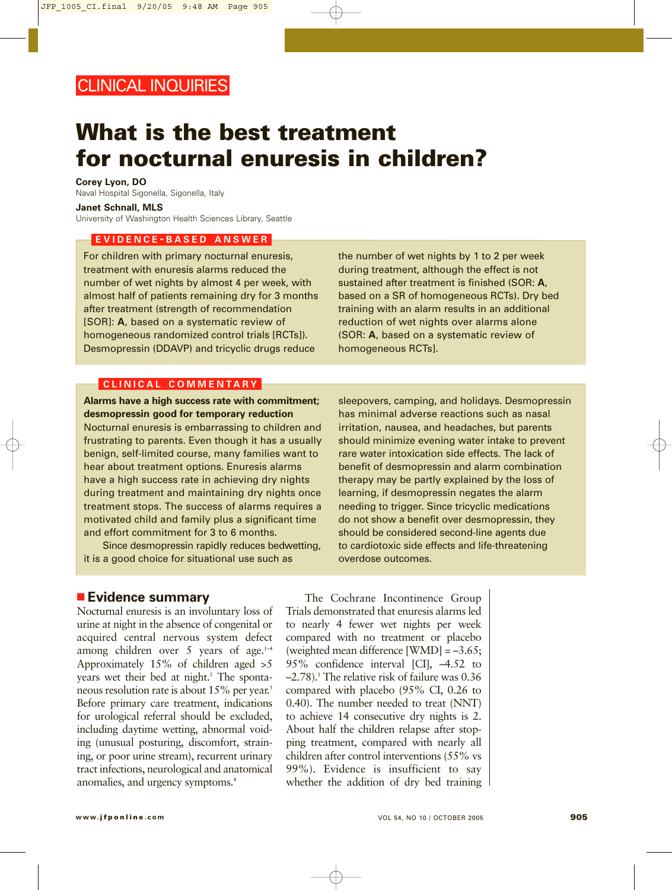# **What is the best treatment for nocturnal enuresis in children?**

**Corey Lyon, DO** Naval Hospital Sigonella, Sigonella, Italy **Janet Schnall, MLS**

University of Washington Health Sciences Library, Seattle

### **EVIDENCE - BASED ANSWER**

For children with primary nocturnal enuresis, treatment with enuresis alarms reduced the number of wet nights by almost 4 per week, with almost half of patients remaining dry for 3 months after treatment (strength of recommendation [SOR]: **A**, based on a systematic review of homogeneous randomized control trials [RCTs]). Desmopressin (DDAVP) and tricyclic drugs reduce

the number of wet nights by 1 to 2 per week during treatment, although the effect is not sustained after treatment is finished (SOR: **A**, based on a SR of homogeneous RCTs). Dry bed training with an alarm results in an additional reduction of wet nights over alarms alone (SOR: **A**, based on a systematic review of homogeneous RCTs].

## **CLINICAL COMMENTARY**

**Alarms have a high success rate with commitment; desmopressin good for temporary reduction** Nocturnal enuresis is embarrassing to children and frustrating to parents. Even though it has a usually benign, self-limited course, many families want to hear about treatment options. Enuresis alarms have a high success rate in achieving dry nights during treatment and maintaining dry nights once treatment stops. The success of alarms requires a motivated child and family plus a significant time and effort commitment for 3 to 6 months.

Since desmopressin rapidly reduces bedwetting, it is a good choice for situational use such as

sleepovers, camping, and holidays. Desmopressin has minimal adverse reactions such as nasal irritation, nausea, and headaches, but parents should minimize evening water intake to prevent rare water intoxication side effects. The lack of benefit of desmopressin and alarm combination therapy may be partly explained by the loss of learning, if desmopressin negates the alarm needing to trigger. Since tricyclic medications do not show a benefit over desmopressin, they should be considered second-line agents due to cardiotoxic side effects and life-threatening overdose outcomes.

# ■ **Evidence summary**

Nocturnal enuresis is an involuntary loss of urine at night in the absence of congenital or acquired central nervous system defect among children over 5 years of age. $1-4$ Approximately 15% of children aged >5 years wet their bed at night.<sup>5</sup> The spontaneous resolution rate is about 15% per year.<sup>5</sup> Before primary care treatment, indications for urological referral should be excluded, including daytime wetting, abnormal voiding (unusual posturing, discomfort, straining, or poor urine stream), recurrent urinary tract infections, neurological and anatomical anomalies, and urgency symptoms.4

The Cochrane Incontinence Group Trials demonstrated that enuresis alarms led to nearly 4 fewer wet nights per week compared with no treatment or placebo (weighted mean difference [WMD] = –3.65; 95% confidence interval [CI], –4.52 to  $-2.78$ ).<sup>1</sup> The relative risk of failure was 0.36 compared with placebo (95% CI, 0.26 to 0.40). The number needed to treat (NNT) to achieve 14 consecutive dry nights is 2. About half the children relapse after stopping treatment, compared with nearly all children after control interventions (55% vs 99%). Evidence is insufficient to say whether the addition of dry bed training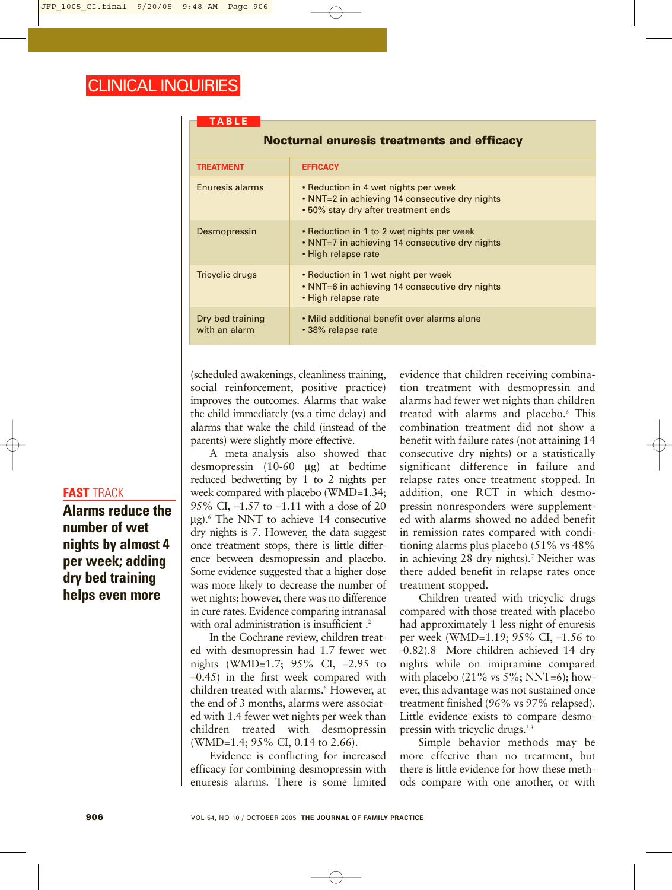| <b>TABLE</b>                                      |                                                                                                                               |
|---------------------------------------------------|-------------------------------------------------------------------------------------------------------------------------------|
| <b>Nocturnal enuresis treatments and efficacy</b> |                                                                                                                               |
| <b>TREATMENT</b>                                  | <b>EFFICACY</b>                                                                                                               |
| Enuresis alarms                                   | • Reduction in 4 wet nights per week<br>• NNT=2 in achieving 14 consecutive dry nights<br>• 50% stay dry after treatment ends |
| Desmopressin                                      | • Reduction in 1 to 2 wet nights per week<br>• NNT=7 in achieving 14 consecutive dry nights<br>• High relapse rate            |
| <b>Tricyclic drugs</b>                            | • Reduction in 1 wet night per week<br>• NNT=6 in achieving 14 consecutive dry nights<br>• High relapse rate                  |
| Dry bed training<br>with an alarm                 | • Mild additional benefit over alarms alone<br>• 38% relapse rate                                                             |

(scheduled awakenings, cleanliness training, social reinforcement, positive practice) improves the outcomes. Alarms that wake the child immediately (vs a time delay) and alarms that wake the child (instead of the parents) were slightly more effective.

A meta-analysis also showed that desmopressin (10-60 µg) at bedtime reduced bedwetting by 1 to 2 nights per week compared with placebo (WMD=1.34; 95% CI, –1.57 to –1.11 with a dose of 20 µg).6 The NNT to achieve 14 consecutive dry nights is 7. However, the data suggest once treatment stops, there is little difference between desmopressin and placebo. Some evidence suggested that a higher dose was more likely to decrease the number of wet nights; however, there was no difference in cure rates. Evidence comparing intranasal with oral administration is insufficient.<sup>2</sup>

In the Cochrane review, children treated with desmopressin had 1.7 fewer wet nights (WMD=1.7; 95% CI, –2.95 to –0.45) in the first week compared with children treated with alarms.<sup>6</sup> However, at the end of 3 months, alarms were associated with 1.4 fewer wet nights per week than children treated with desmopressin (WMD=1.4; 95% CI, 0.14 to 2.66).

Evidence is conflicting for increased efficacy for combining desmopressin with enuresis alarms. There is some limited

evidence that children receiving combination treatment with desmopressin and alarms had fewer wet nights than children treated with alarms and placebo.<sup>6</sup> This combination treatment did not show a benefit with failure rates (not attaining 14 consecutive dry nights) or a statistically significant difference in failure and relapse rates once treatment stopped. In addition, one RCT in which desmopressin nonresponders were supplemented with alarms showed no added benefit in remission rates compared with conditioning alarms plus placebo (51% vs 48% in achieving 28 dry nights).<sup>7</sup> Neither was there added benefit in relapse rates once treatment stopped.

Children treated with tricyclic drugs compared with those treated with placebo had approximately 1 less night of enuresis per week (WMD=1.19; 95% CI, –1.56 to -0.82).8 More children achieved 14 dry nights while on imipramine compared with placebo  $(21\% \text{ vs } 5\%; \text{NNT=6}); \text{how-}$ ever, this advantage was not sustained once treatment finished (96% vs 97% relapsed). Little evidence exists to compare desmopressin with tricyclic drugs.<sup>2,8</sup>

Simple behavior methods may be more effective than no treatment, but there is little evidence for how these methods compare with one another, or with

# **FAST** TRACK

**Alarms reduce the number of wet nights by almost 4 per week; adding dry bed training helps even more**